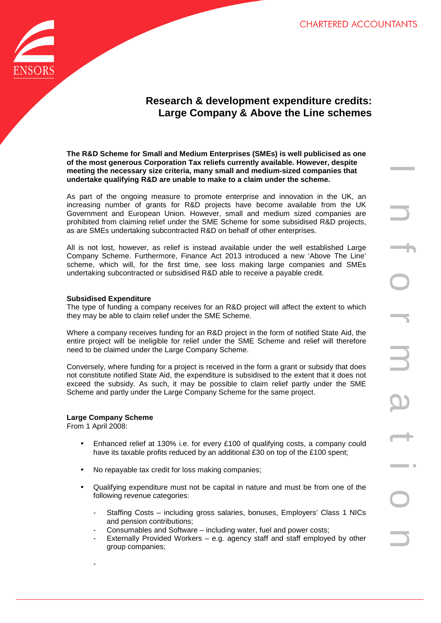

# **Research & development expenditure credits: Large Company & Above the Line schemes**

**The R&D Scheme for Small and Medium Enterprises (SMEs) is well publicised as one of the most generous Corporation Tax reliefs currently available. However, despite meeting the necessary size criteria, many small and medium-sized companies that undertake qualifying R&D are unable to make to a claim under the scheme.** 

As part of the ongoing measure to promote enterprise and innovation in the UK, an increasing number of grants for R&D projects have become available from the UK Government and European Union. However, small and medium sized companies are prohibited from claiming relief under the SME Scheme for some subsidised R&D projects, as are SMEs undertaking subcontracted R&D on behalf of other enterprises.

All is not lost, however, as relief is instead available under the well established Large Company Scheme. Furthermore, Finance Act 2013 introduced a new 'Above The Line' scheme, which will, for the first time, see loss making large companies and SMEs undertaking subcontracted or subsidised R&D able to receive a payable credit.

#### **Subsidised Expenditure**

The type of funding a company receives for an R&D project will affect the extent to which they may be able to claim relief under the SME Scheme.

Where a company receives funding for an R&D project in the form of notified State Aid, the entire project will be ineligible for relief under the SME Scheme and relief will therefore need to be claimed under the Large Company Scheme.

Conversely, where funding for a project is received in the form a grant or subsidy that does not constitute notified State Aid, the expenditure is subsidised to the extent that it does not exceed the subsidy. As such, it may be possible to claim relief partly under the SME Scheme and partly under the Large Company Scheme for the same project.

#### **Large Company Scheme**

From 1 April 2008:

- Enhanced relief at 130% i.e. for every £100 of qualifying costs, a company could have its taxable profits reduced by an additional £30 on top of the £100 spent;
- No repayable tax credit for loss making companies;
- Qualifying expenditure must not be capital in nature and must be from one of the following revenue categories:
	- Staffing Costs including gross salaries, bonuses, Employers' Class 1 NICs and pension contributions;
	- Consumables and Software including water, fuel and power costs;
	- Externally Provided Workers e.g. agency staff and staff employed by other group companies;

-